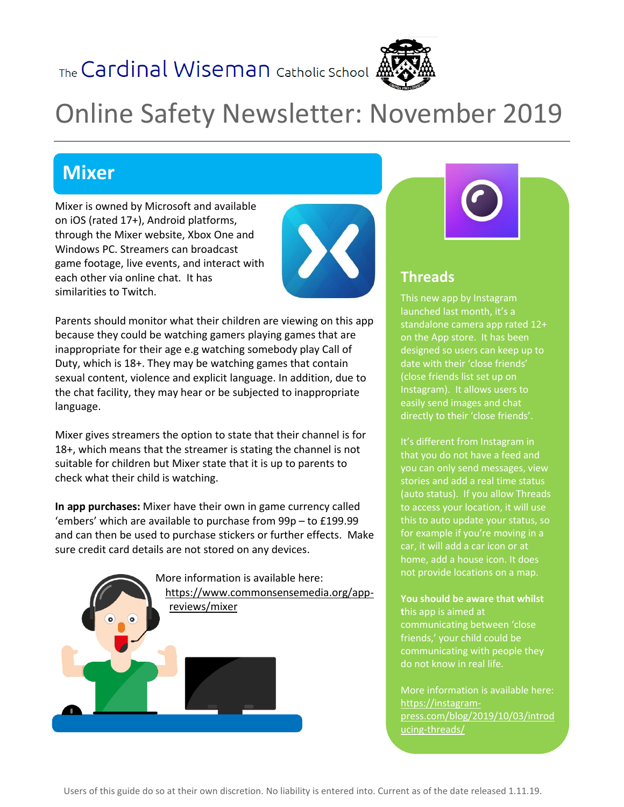The Cardinal Wiseman Catholic School



# Online Safety Newsletter: November 2019

## **Mixer**

Mixer is owned by Microsoft and available on iOS (rated 17+), Android platforms, through the Mixer website, Xbox One and Windows PC. Streamers can broadcast game footage, live events, and interact with each other via online chat. It has similarities to Twitch.



Parents should monitor what their children are viewing on this app because they could be watching gamers playing games that are inappropriate for their age e.g watching somebody play Call of Duty, which is 18+. They may be watching games that contain sexual content, violence and explicit language. In addition, due to the chat facility, they may hear or be subjected to inappropriate language.

Mixer gives streamers the option to state that their channel is for 18+, which means that the streamer is stating the channel is not suitable for children but Mixer state that it is up to parents to check what their child is watching.

**In app purchases:** Mixer have their own in game currency called 'embers' which are available to purchase from 99p – to £199.99 and can then be used to purchase stickers or further effects. Make sure credit card details are not stored on any devices.



### **Threads**

This new app by Instagram launched last month, it's a standalone camera app rated 12+ on the App store. It has been designed so users can keep up to date with their 'close friends' (close friends list set up on Instagram). It allows users to easily send images and chat directly to their 'close friends'.

It's different from Instagram in that you do not have a feed and you can only send messages, view stories and add a real time status (auto status). If you allow Threads to access your location, it will use this to auto update your status, so for example if you're moving in a car, it will add a car icon or at home, add a house icon. It does not provide locations on a map.

#### **You should be aware that whilst**

**t**his app is aimed at communicating between 'close friends,' your child could be communicating with people they do not know in real life.

More information is available here: [https://instagram](https://instagram-press.com/blog/2019/10/03/introducing-threads/)[press.com/blog/2019/10/03/introd](https://instagram-press.com/blog/2019/10/03/introducing-threads/) [ucing-threads/](https://instagram-press.com/blog/2019/10/03/introducing-threads/)